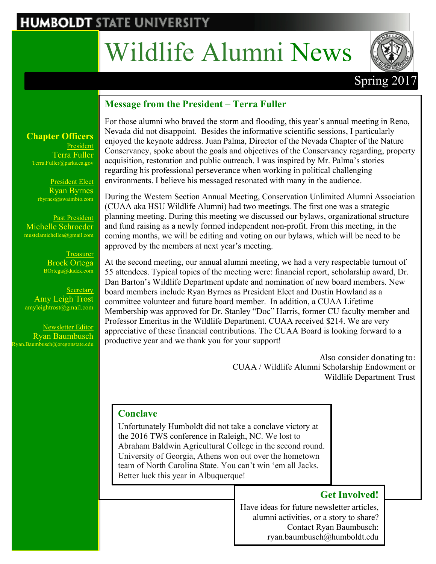## **HUMBOLDT STATE UNIVERSITY**

# Wildlife Alumni News



### Spring 201

#### **Message from the President – Terra Fuller**

#### **Chapter Officers** President Terra Fuller Terra.Fuller@parks.ca.gov

President Elect Ryan Byrnes rbyrnes@swaimbio.com

Past President Michelle Schroeder mustelamichellea@gmail.com

> **Treasurer** Brock Ortega BOrtega@dudek.com

**Secretary** Amy Leigh Trost amyleightrost@gmail.com

Newsletter Editor Ryan Baumbusch  $k$ yan.Baumbusch@oregonstate.edu For those alumni who braved the storm and flooding, this year's annual meeting in Reno, Nevada did not disappoint. Besides the informative scientific sessions, I particularly enjoyed the keynote address. Juan Palma, Director of the Nevada Chapter of the Nature Conservancy, spoke about the goals and objectives of the Conservancy regarding, property acquisition, restoration and public outreach. I was inspired by Mr. Palma's stories regarding his professional perseverance when working in political challenging environments. I believe his messaged resonated with many in the audience.

During the Western Section Annual Meeting, Conservation Unlimited Alumni Association (CUAA aka HSU Wildlife Alumni) had two meetings. The first one was a strategic planning meeting. During this meeting we discussed our bylaws, organizational structure and fund raising as a newly formed independent non-profit. From this meeting, in the coming months, we will be editing and voting on our bylaws, which will be need to be approved by the members at next year's meeting.

At the second meeting, our annual alumni meeting, we had a very respectable turnout of 55 attendees. Typical topics of the meeting were: financial report, scholarship award, Dr. Dan Barton's Wildlife Department update and nomination of new board members. New board members include Ryan Byrnes as President Elect and Dustin Howland as a committee volunteer and future board member. In addition, a CUAA Lifetime Membership was approved for Dr. Stanley "Doc" Harris, former CU faculty member and Professor Emeritus in the Wildlife Department. CUAA received \$214. We are very appreciative of these financial contributions. The CUAA Board is looking forward to a productive year and we thank you for your support!

> Also consider donating to: CUAA / Wildlife Alumni Scholarship Endowment or Wildlife Department Trust

#### **Conclave**

Unfortunately Humboldt did not take a conclave victory at the 2016 TWS conference in Raleigh, NC. We lost to Abraham Baldwin Agricultural College in the second round. University of Georgia, Athens won out over the hometown team of North Carolina State. You can't win 'em all Jacks. Better luck this year in Albuquerque!

#### **Get Involved!**

Have ideas for future newsletter articles, alumni activities, or a story to share? Contact Ryan Baumbusch: ryan.baumbusch@humboldt.edu